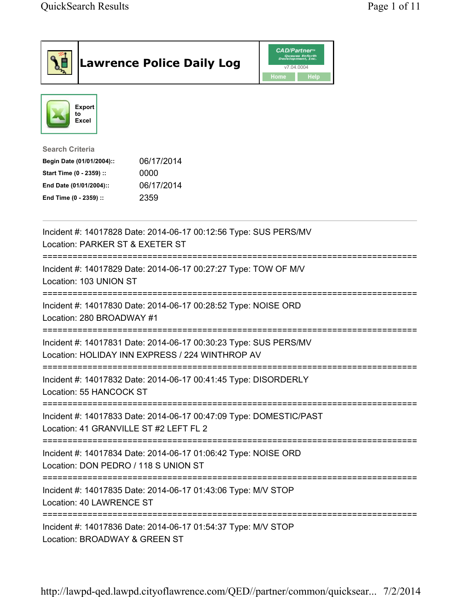| <b>Lawrence Police Daily Log</b>                                                                                                                                                 | <i><b>CAD/Partner</b></i><br>Queues Enforth<br>Development, Inc.<br>v7.04.0004<br>Home<br><b>Help</b> |
|----------------------------------------------------------------------------------------------------------------------------------------------------------------------------------|-------------------------------------------------------------------------------------------------------|
| Export<br>to<br>Excel                                                                                                                                                            |                                                                                                       |
| <b>Search Criteria</b><br>06/17/2014<br>Begin Date (01/01/2004)::<br>Start Time (0 - 2359) ::<br>0000<br>06/17/2014<br>End Date (01/01/2004)::<br>2359<br>End Time (0 - 2359) :: |                                                                                                       |
| Incident #: 14017828 Date: 2014-06-17 00:12:56 Type: SUS PERS/MV<br>Location: PARKER ST & EXETER ST                                                                              |                                                                                                       |
| Incident #: 14017829 Date: 2014-06-17 00:27:27 Type: TOW OF M/V<br>Location: 103 UNION ST                                                                                        |                                                                                                       |
| Incident #: 14017830 Date: 2014-06-17 00:28:52 Type: NOISE ORD<br>Location: 280 BROADWAY #1                                                                                      |                                                                                                       |
| Incident #: 14017831 Date: 2014-06-17 00:30:23 Type: SUS PERS/MV<br>Location: HOLIDAY INN EXPRESS / 224 WINTHROP AV                                                              |                                                                                                       |
| Incident #: 14017832 Date: 2014-06-17 00:41:45 Type: DISORDERLY<br>Location: 55 HANCOCK ST                                                                                       |                                                                                                       |
| Incident #: 14017833 Date: 2014-06-17 00:47:09 Type: DOMESTIC/PAST<br>Location: 41 GRANVILLE ST #2 LEFT FL 2                                                                     |                                                                                                       |
| Incident #: 14017834 Date: 2014-06-17 01:06:42 Type: NOISE ORD<br>Location: DON PEDRO / 118 S UNION ST                                                                           |                                                                                                       |
| Incident #: 14017835 Date: 2014-06-17 01:43:06 Type: M/V STOP<br>Location: 40 LAWRENCE ST                                                                                        |                                                                                                       |
| Incident #: 14017836 Date: 2014-06-17 01:54:37 Type: M/V STOP<br>Location: BROADWAY & GREEN ST                                                                                   |                                                                                                       |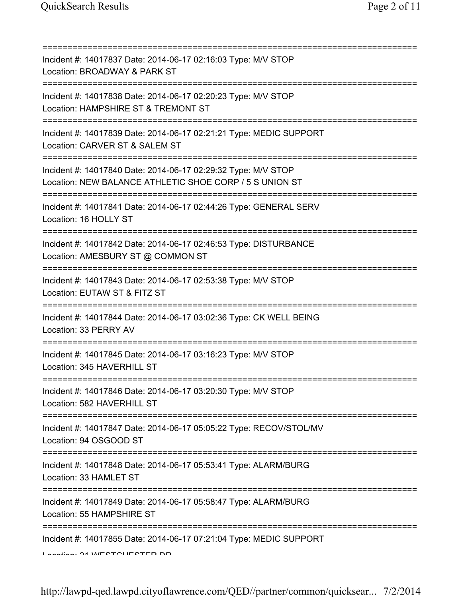| Incident #: 14017837 Date: 2014-06-17 02:16:03 Type: M/V STOP<br>Location: BROADWAY & PARK ST                                            |
|------------------------------------------------------------------------------------------------------------------------------------------|
| Incident #: 14017838 Date: 2014-06-17 02:20:23 Type: M/V STOP<br>Location: HAMPSHIRE ST & TREMONT ST                                     |
| Incident #: 14017839 Date: 2014-06-17 02:21:21 Type: MEDIC SUPPORT<br>Location: CARVER ST & SALEM ST<br>;=============================== |
| Incident #: 14017840 Date: 2014-06-17 02:29:32 Type: M/V STOP<br>Location: NEW BALANCE ATHLETIC SHOE CORP / 5 S UNION ST                 |
| Incident #: 14017841 Date: 2014-06-17 02:44:26 Type: GENERAL SERV<br>Location: 16 HOLLY ST                                               |
| Incident #: 14017842 Date: 2014-06-17 02:46:53 Type: DISTURBANCE<br>Location: AMESBURY ST @ COMMON ST                                    |
| Incident #: 14017843 Date: 2014-06-17 02:53:38 Type: M/V STOP<br>Location: EUTAW ST & FITZ ST                                            |
| ==========<br>Incident #: 14017844 Date: 2014-06-17 03:02:36 Type: CK WELL BEING<br>Location: 33 PERRY AV                                |
| Incident #: 14017845 Date: 2014-06-17 03:16:23 Type: M/V STOP<br>Location: 345 HAVERHILL ST                                              |
| Incident #: 14017846 Date: 2014-06-17 03:20:30 Type: M/V STOP<br>Location: 582 HAVERHILL ST                                              |
| Incident #: 14017847 Date: 2014-06-17 05:05:22 Type: RECOV/STOL/MV<br>Location: 94 OSGOOD ST                                             |
| ;==================================<br>Incident #: 14017848 Date: 2014-06-17 05:53:41 Type: ALARM/BURG<br>Location: 33 HAMLET ST         |
| Incident #: 14017849 Date: 2014-06-17 05:58:47 Type: ALARM/BURG<br>Location: 55 HAMPSHIRE ST                                             |
| Incident #: 14017855 Date: 2014-06-17 07:21:04 Type: MEDIC SUPPORT<br>Lootion: 04 IMECTOUECTED DD                                        |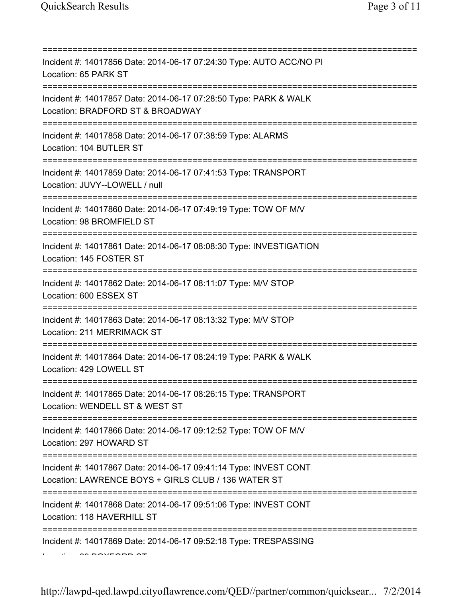| Incident #: 14017856 Date: 2014-06-17 07:24:30 Type: AUTO ACC/NO PI<br>Location: 65 PARK ST                                                                               |
|---------------------------------------------------------------------------------------------------------------------------------------------------------------------------|
| Incident #: 14017857 Date: 2014-06-17 07:28:50 Type: PARK & WALK<br>Location: BRADFORD ST & BROADWAY<br>===============================                                   |
| Incident #: 14017858 Date: 2014-06-17 07:38:59 Type: ALARMS<br>Location: 104 BUTLER ST                                                                                    |
| Incident #: 14017859 Date: 2014-06-17 07:41:53 Type: TRANSPORT<br>Location: JUVY--LOWELL / null                                                                           |
| Incident #: 14017860 Date: 2014-06-17 07:49:19 Type: TOW OF M/V<br>Location: 98 BROMFIELD ST                                                                              |
| ====================================<br>Incident #: 14017861 Date: 2014-06-17 08:08:30 Type: INVESTIGATION<br>Location: 145 FOSTER ST<br>;=============================== |
| Incident #: 14017862 Date: 2014-06-17 08:11:07 Type: M/V STOP<br>Location: 600 ESSEX ST                                                                                   |
| Incident #: 14017863 Date: 2014-06-17 08:13:32 Type: M/V STOP<br>Location: 211 MERRIMACK ST                                                                               |
| Incident #: 14017864 Date: 2014-06-17 08:24:19 Type: PARK & WALK<br>Location: 429 LOWELL ST                                                                               |
| Incident #: 14017865 Date: 2014-06-17 08:26:15 Type: TRANSPORT<br>Location: WENDELL ST & WEST ST                                                                          |
| Incident #: 14017866 Date: 2014-06-17 09:12:52 Type: TOW OF M/V<br>Location: 297 HOWARD ST                                                                                |
| Incident #: 14017867 Date: 2014-06-17 09:41:14 Type: INVEST CONT<br>Location: LAWRENCE BOYS + GIRLS CLUB / 136 WATER ST                                                   |
| Incident #: 14017868 Date: 2014-06-17 09:51:06 Type: INVEST CONT<br>Location: 118 HAVERHILL ST                                                                            |
| Incident #: 14017869 Date: 2014-06-17 09:52:18 Type: TRESPASSING                                                                                                          |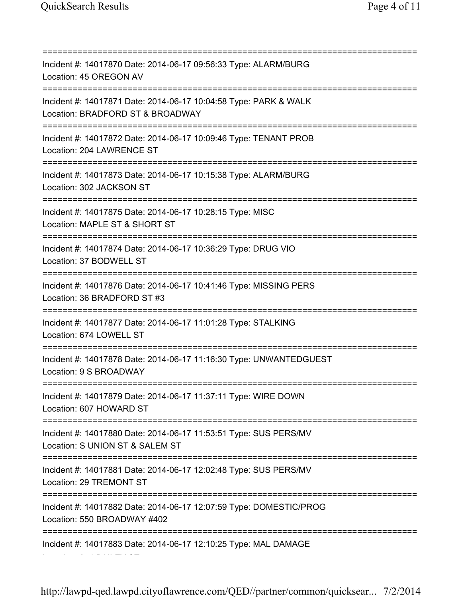Location: 254 BAILEY ST

=========================================================================== Incident #: 14017870 Date: 2014-06-17 09:56:33 Type: ALARM/BURG Location: 45 OREGON AV =========================================================================== Incident #: 14017871 Date: 2014-06-17 10:04:58 Type: PARK & WALK Location: BRADFORD ST & BROADWAY =========================================================================== Incident #: 14017872 Date: 2014-06-17 10:09:46 Type: TENANT PROB Location: 204 LAWRENCE ST =========================================================================== Incident #: 14017873 Date: 2014-06-17 10:15:38 Type: ALARM/BURG Location: 302 JACKSON ST =========================================================================== Incident #: 14017875 Date: 2014-06-17 10:28:15 Type: MISC Location: MAPLE ST & SHORT ST =========================================================================== Incident #: 14017874 Date: 2014-06-17 10:36:29 Type: DRUG VIO Location: 37 BODWELL ST =========================================================================== Incident #: 14017876 Date: 2014-06-17 10:41:46 Type: MISSING PERS Location: 36 BRADFORD ST #3 =========================================================================== Incident #: 14017877 Date: 2014-06-17 11:01:28 Type: STALKING Location: 674 LOWELL ST =========================================================================== Incident #: 14017878 Date: 2014-06-17 11:16:30 Type: UNWANTEDGUEST Location: 9 S BROADWAY =========================================================================== Incident #: 14017879 Date: 2014-06-17 11:37:11 Type: WIRE DOWN Location: 607 HOWARD ST =========================================================================== Incident #: 14017880 Date: 2014-06-17 11:53:51 Type: SUS PERS/MV Location: S UNION ST & SALEM ST =========================================================================== Incident #: 14017881 Date: 2014-06-17 12:02:48 Type: SUS PERS/MV Location: 29 TREMONT ST =========================================================================== Incident #: 14017882 Date: 2014-06-17 12:07:59 Type: DOMESTIC/PROG Location: 550 BROADWAY #402 =========================================================================== Incident #: 14017883 Date: 2014-06-17 12:10:25 Type: MAL DAMAGE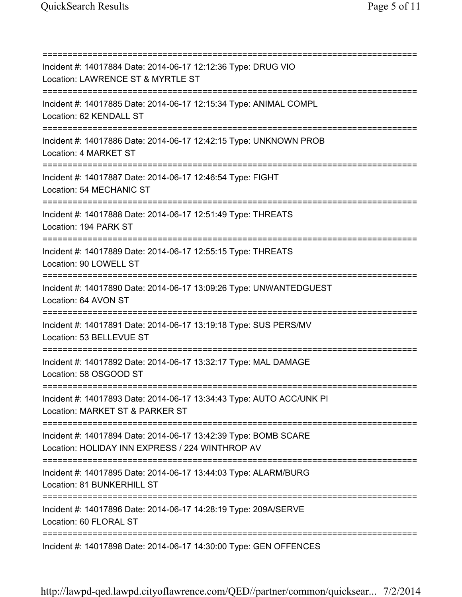=========================================================================== Incident #: 14017884 Date: 2014-06-17 12:12:36 Type: DRUG VIO Location: LAWRENCE ST & MYRTLE ST =========================================================================== Incident #: 14017885 Date: 2014-06-17 12:15:34 Type: ANIMAL COMPL Location: 62 KENDALL ST =========================================================================== Incident #: 14017886 Date: 2014-06-17 12:42:15 Type: UNKNOWN PROB Location: 4 MARKET ST =========================================================================== Incident #: 14017887 Date: 2014-06-17 12:46:54 Type: FIGHT Location: 54 MECHANIC ST =========================================================================== Incident #: 14017888 Date: 2014-06-17 12:51:49 Type: THREATS Location: 194 PARK ST =========================================================================== Incident #: 14017889 Date: 2014-06-17 12:55:15 Type: THREATS Location: 90 LOWELL ST =========================================================================== Incident #: 14017890 Date: 2014-06-17 13:09:26 Type: UNWANTEDGUEST Location: 64 AVON ST =========================================================================== Incident #: 14017891 Date: 2014-06-17 13:19:18 Type: SUS PERS/MV Location: 53 BELLEVUE ST =========================================================================== Incident #: 14017892 Date: 2014-06-17 13:32:17 Type: MAL DAMAGE Location: 58 OSGOOD ST =========================================================================== Incident #: 14017893 Date: 2014-06-17 13:34:43 Type: AUTO ACC/UNK PI Location: MARKET ST & PARKER ST =========================================================================== Incident #: 14017894 Date: 2014-06-17 13:42:39 Type: BOMB SCARE Location: HOLIDAY INN EXPRESS / 224 WINTHROP AV =========================================================================== Incident #: 14017895 Date: 2014-06-17 13:44:03 Type: ALARM/BURG Location: 81 BUNKERHILL ST =========================================================================== Incident #: 14017896 Date: 2014-06-17 14:28:19 Type: 209A/SERVE Location: 60 FLORAL ST =========================================================================== Incident #: 14017898 Date: 2014-06-17 14:30:00 Type: GEN OFFENCES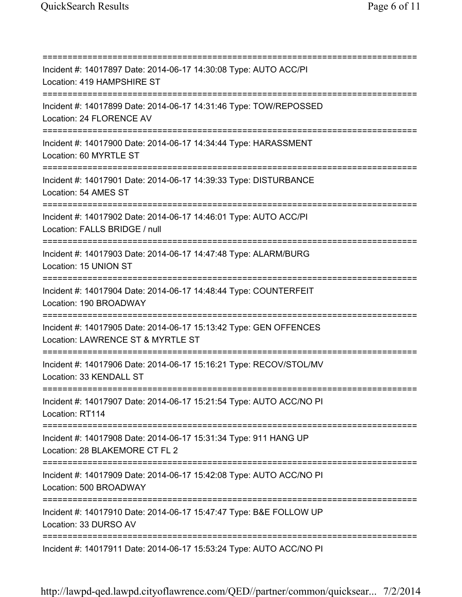=========================================================================== Incident #: 14017897 Date: 2014-06-17 14:30:08 Type: AUTO ACC/PI Location: 419 HAMPSHIRE ST =========================================================================== Incident #: 14017899 Date: 2014-06-17 14:31:46 Type: TOW/REPOSSED Location: 24 FLORENCE AV =========================================================================== Incident #: 14017900 Date: 2014-06-17 14:34:44 Type: HARASSMENT Location: 60 MYRTLE ST =========================================================================== Incident #: 14017901 Date: 2014-06-17 14:39:33 Type: DISTURBANCE Location: 54 AMES ST =========================================================================== Incident #: 14017902 Date: 2014-06-17 14:46:01 Type: AUTO ACC/PI Location: FALLS BRIDGE / null =========================================================================== Incident #: 14017903 Date: 2014-06-17 14:47:48 Type: ALARM/BURG Location: 15 UNION ST =========================================================================== Incident #: 14017904 Date: 2014-06-17 14:48:44 Type: COUNTERFEIT Location: 190 BROADWAY =========================================================================== Incident #: 14017905 Date: 2014-06-17 15:13:42 Type: GEN OFFENCES Location: LAWRENCE ST & MYRTLE ST =========================================================================== Incident #: 14017906 Date: 2014-06-17 15:16:21 Type: RECOV/STOL/MV Location: 33 KENDALL ST =========================================================================== Incident #: 14017907 Date: 2014-06-17 15:21:54 Type: AUTO ACC/NO PI Location: RT114 =========================================================================== Incident #: 14017908 Date: 2014-06-17 15:31:34 Type: 911 HANG UP Location: 28 BLAKEMORE CT FL 2 =========================================================================== Incident #: 14017909 Date: 2014-06-17 15:42:08 Type: AUTO ACC/NO PI Location: 500 BROADWAY =========================================================================== Incident #: 14017910 Date: 2014-06-17 15:47:47 Type: B&E FOLLOW UP Location: 33 DURSO AV =========================================================================== Incident #: 14017911 Date: 2014-06-17 15:53:24 Type: AUTO ACC/NO PI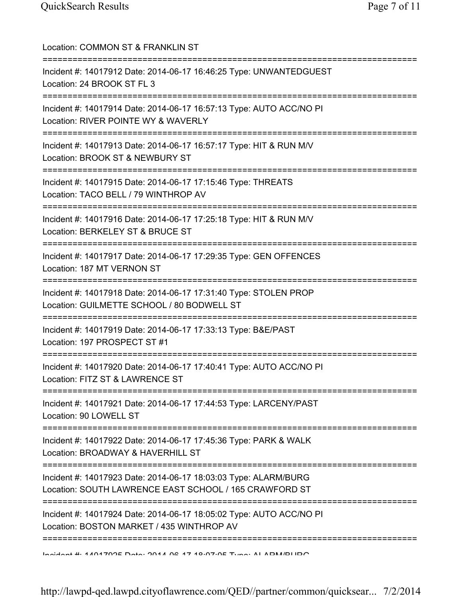| Location: COMMON ST & FRANKLIN ST                                                                                                           |
|---------------------------------------------------------------------------------------------------------------------------------------------|
| Incident #: 14017912 Date: 2014-06-17 16:46:25 Type: UNWANTEDGUEST<br>Location: 24 BROOK ST FL 3                                            |
| Incident #: 14017914 Date: 2014-06-17 16:57:13 Type: AUTO ACC/NO PI<br>Location: RIVER POINTE WY & WAVERLY                                  |
| Incident #: 14017913 Date: 2014-06-17 16:57:17 Type: HIT & RUN M/V<br>Location: BROOK ST & NEWBURY ST                                       |
| Incident #: 14017915 Date: 2014-06-17 17:15:46 Type: THREATS<br>Location: TACO BELL / 79 WINTHROP AV                                        |
| Incident #: 14017916 Date: 2014-06-17 17:25:18 Type: HIT & RUN M/V<br>Location: BERKELEY ST & BRUCE ST                                      |
| Incident #: 14017917 Date: 2014-06-17 17:29:35 Type: GEN OFFENCES<br>Location: 187 MT VERNON ST                                             |
| Incident #: 14017918 Date: 2014-06-17 17:31:40 Type: STOLEN PROP<br>Location: GUILMETTE SCHOOL / 80 BODWELL ST                              |
| Incident #: 14017919 Date: 2014-06-17 17:33:13 Type: B&E/PAST<br>Location: 197 PROSPECT ST #1                                               |
| Incident #: 14017920 Date: 2014-06-17 17:40:41 Type: AUTO ACC/NO PI<br>Location: FITZ ST & LAWRENCE ST                                      |
| Incident #: 14017921 Date: 2014-06-17 17:44:53 Type: LARCENY/PAST<br>Location: 90 LOWELL ST                                                 |
| Incident #: 14017922 Date: 2014-06-17 17:45:36 Type: PARK & WALK<br>Location: BROADWAY & HAVERHILL ST                                       |
| Incident #: 14017923 Date: 2014-06-17 18:03:03 Type: ALARM/BURG<br>Location: SOUTH LAWRENCE EAST SCHOOL / 165 CRAWFORD ST                   |
| =======================<br>Incident #: 14017924 Date: 2014-06-17 18:05:02 Type: AUTO ACC/NO PI<br>Location: BOSTON MARKET / 435 WINTHROP AV |
| Incident #: 1101700E Data: 0014 02 17 10:07:05 Tune: ALADM/DLIDO                                                                            |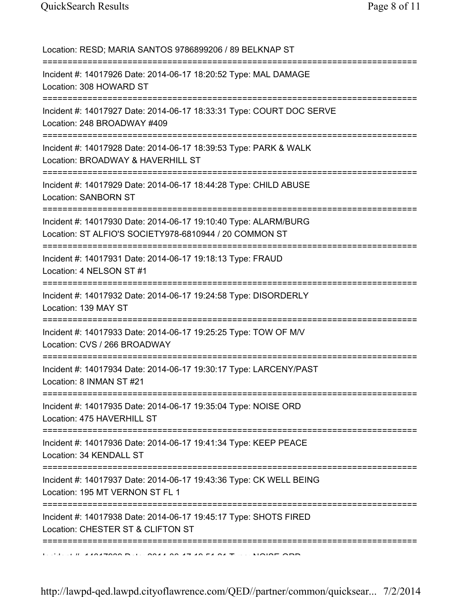Location: RESD; MARIA SANTOS 9786899206 / 89 BELKNAP ST =========================================================================== Incident #: 14017926 Date: 2014-06-17 18:20:52 Type: MAL DAMAGE Location: 308 HOWARD ST =========================================================================== Incident #: 14017927 Date: 2014-06-17 18:33:31 Type: COURT DOC SERVE Location: 248 BROADWAY #409 =========================================================================== Incident #: 14017928 Date: 2014-06-17 18:39:53 Type: PARK & WALK Location: BROADWAY & HAVERHILL ST =========================================================================== Incident #: 14017929 Date: 2014-06-17 18:44:28 Type: CHILD ABUSE Location: SANBORN ST =========================================================================== Incident #: 14017930 Date: 2014-06-17 19:10:40 Type: ALARM/BURG Location: ST ALFIO'S SOCIETY978-6810944 / 20 COMMON ST =========================================================================== Incident #: 14017931 Date: 2014-06-17 19:18:13 Type: FRAUD Location: 4 NELSON ST #1 =========================================================================== Incident #: 14017932 Date: 2014-06-17 19:24:58 Type: DISORDERLY Location: 139 MAY ST =========================================================================== Incident #: 14017933 Date: 2014-06-17 19:25:25 Type: TOW OF M/V Location: CVS / 266 BROADWAY =========================================================================== Incident #: 14017934 Date: 2014-06-17 19:30:17 Type: LARCENY/PAST Location: 8 INMAN ST #21 =========================================================================== Incident #: 14017935 Date: 2014-06-17 19:35:04 Type: NOISE ORD Location: 475 HAVERHILL ST =========================================================================== Incident #: 14017936 Date: 2014-06-17 19:41:34 Type: KEEP PEACE Location: 34 KENDALL ST =========================================================================== Incident #: 14017937 Date: 2014-06-17 19:43:36 Type: CK WELL BEING Location: 195 MT VERNON ST FL 1 =========================================================================== Incident #: 14017938 Date: 2014-06-17 19:45:17 Type: SHOTS FIRED Location: CHESTER ST & CLIFTON ST =========================================================================== Incident #: 14017939 Date: 2014 06 17 19:51:21 Type: NOISE ORD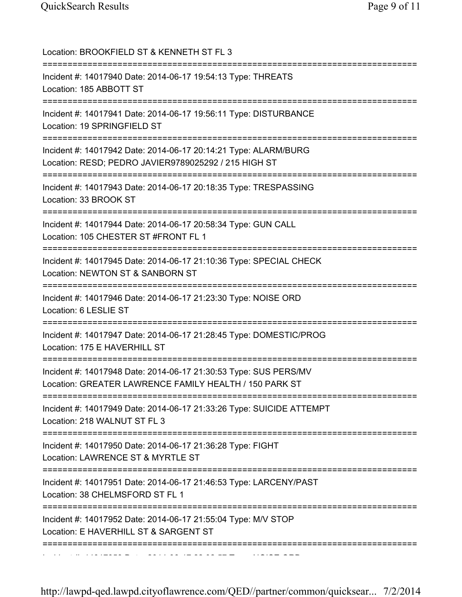| Location: BROOKFIELD ST & KENNETH ST FL 3                                                                                                                         |
|-------------------------------------------------------------------------------------------------------------------------------------------------------------------|
| Incident #: 14017940 Date: 2014-06-17 19:54:13 Type: THREATS<br>Location: 185 ABBOTT ST                                                                           |
| Incident #: 14017941 Date: 2014-06-17 19:56:11 Type: DISTURBANCE<br>Location: 19 SPRINGFIELD ST                                                                   |
| Incident #: 14017942 Date: 2014-06-17 20:14:21 Type: ALARM/BURG<br>Location: RESD; PEDRO JAVIER9789025292 / 215 HIGH ST<br>====================================== |
| Incident #: 14017943 Date: 2014-06-17 20:18:35 Type: TRESPASSING<br>Location: 33 BROOK ST                                                                         |
| Incident #: 14017944 Date: 2014-06-17 20:58:34 Type: GUN CALL<br>Location: 105 CHESTER ST #FRONT FL 1                                                             |
| Incident #: 14017945 Date: 2014-06-17 21:10:36 Type: SPECIAL CHECK<br>Location: NEWTON ST & SANBORN ST                                                            |
| Incident #: 14017946 Date: 2014-06-17 21:23:30 Type: NOISE ORD<br>Location: 6 LESLIE ST                                                                           |
| Incident #: 14017947 Date: 2014-06-17 21:28:45 Type: DOMESTIC/PROG<br>Location: 175 E HAVERHILL ST                                                                |
| Incident #: 14017948 Date: 2014-06-17 21:30:53 Type: SUS PERS/MV<br>Location: GREATER LAWRENCE FAMILY HEALTH / 150 PARK ST                                        |
| Incident #: 14017949 Date: 2014-06-17 21:33:26 Type: SUICIDE ATTEMPT<br>Location: 218 WALNUT ST FL 3                                                              |
| Incident #: 14017950 Date: 2014-06-17 21:36:28 Type: FIGHT<br>Location: LAWRENCE ST & MYRTLE ST                                                                   |
| Incident #: 14017951 Date: 2014-06-17 21:46:53 Type: LARCENY/PAST<br>Location: 38 CHELMSFORD ST FL 1                                                              |
| Incident #: 14017952 Date: 2014-06-17 21:55:04 Type: M/V STOP<br>Location: E HAVERHILL ST & SARGENT ST                                                            |
|                                                                                                                                                                   |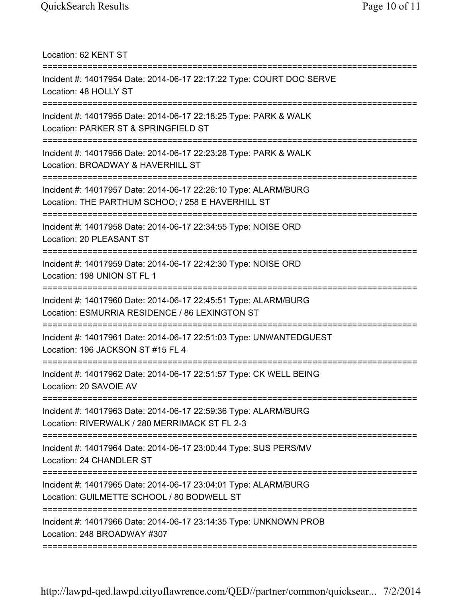Location: 62 KENT ST

| Incident #: 14017954 Date: 2014-06-17 22:17:22 Type: COURT DOC SERVE<br>Location: 48 HOLLY ST                                                   |
|-------------------------------------------------------------------------------------------------------------------------------------------------|
| Incident #: 14017955 Date: 2014-06-17 22:18:25 Type: PARK & WALK<br>Location: PARKER ST & SPRINGFIELD ST                                        |
| Incident #: 14017956 Date: 2014-06-17 22:23:28 Type: PARK & WALK<br>Location: BROADWAY & HAVERHILL ST<br>.===================================== |
| Incident #: 14017957 Date: 2014-06-17 22:26:10 Type: ALARM/BURG<br>Location: THE PARTHUM SCHOO; / 258 E HAVERHILL ST                            |
| =======================<br>Incident #: 14017958 Date: 2014-06-17 22:34:55 Type: NOISE ORD<br>Location: 20 PLEASANT ST                           |
| Incident #: 14017959 Date: 2014-06-17 22:42:30 Type: NOISE ORD<br>Location: 198 UNION ST FL 1                                                   |
| Incident #: 14017960 Date: 2014-06-17 22:45:51 Type: ALARM/BURG<br>Location: ESMURRIA RESIDENCE / 86 LEXINGTON ST                               |
| Incident #: 14017961 Date: 2014-06-17 22:51:03 Type: UNWANTEDGUEST<br>Location: 196 JACKSON ST #15 FL 4                                         |
| Incident #: 14017962 Date: 2014-06-17 22:51:57 Type: CK WELL BEING<br>Location: 20 SAVOIE AV                                                    |
| Incident #: 14017963 Date: 2014-06-17 22:59:36 Type: ALARM/BURG<br>Location: RIVERWALK / 280 MERRIMACK ST FL 2-3                                |
| Incident #: 14017964 Date: 2014-06-17 23:00:44 Type: SUS PERS/MV<br>Location: 24 CHANDLER ST                                                    |
| Incident #: 14017965 Date: 2014-06-17 23:04:01 Type: ALARM/BURG<br>Location: GUILMETTE SCHOOL / 80 BODWELL ST                                   |
| Incident #: 14017966 Date: 2014-06-17 23:14:35 Type: UNKNOWN PROB<br>Location: 248 BROADWAY #307<br><u> :=====================</u>              |
|                                                                                                                                                 |